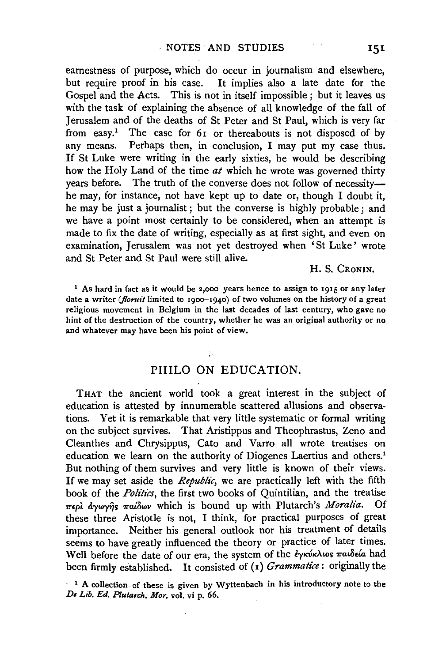earnestness of purpose, which do occur in journalism and elsewhere, but require proof in his case. It implies also a late date for the Gospel and the Acts. This is not in itself impossible; but it leaves us with the task of explaining the absence of all knowledge of the fall of Jerusalem and of the deaths of St Peter and St Paul, which is very far from easy.1 The case for 61 or thereabouts is not disposed of by any means. Perhaps then, in conclusion, I may put my case thus. If St Luke were writing in the early sixties, he would be describing how the Holy Land of the time *at* which he wrote was governed thirty years before. The truth of the converse does not follow of necessityhe may, for instance, not have kept up to date or, though I doubt it, he may be just a journalist; but the converse is highly probable; and we have a point most certainly to be considered, when an attempt is made to fix the date of writing, especially as at first sight, and even on examination, Jerusalem was not yet destroyed when 'St Luke' wrote and St Peter and St Paul were still alive.

## H. s. CRONIN.

<sup>1</sup> As hard in fact as it would be 2,000 years hence to assign to 1915 or any later date a writer *(jloruit* limited to 1900--1940) of two volumes on the history of a great religious movement in Belgium in the last decades of last century, who gave no hint of the destruction of the country, whether he was an original authority or no and whatever may have been his point of view.

## PHILO ON EDUCATION.

THAT the ancient world took a great interest in the subject of education is attested by innumerable scattered allusions and observations. Yet it is remarkable that very little systematic or formal writing on the subject survives. That Aristippus and Theophrastus, Zeno and Cleanthes and Chrysippus, Cato and Varro all wrote treatises on education we learn on the authority of Diogenes Laertius and others.<sup>1</sup> But nothing of them survives and very little is known of their views. If we may set aside the *Republic,* we are practically left with the fifth book of the *Politics,* the first two books of Quintilian, and the treatise 7r<pl aywyl7s 7ra[8wv which is bound up with Plutarch's *Moralia.* Of these three Aristotle is not, I think, for practical purposes of great importance. Neither his general outlook nor his treatment of details seems to have greatly influenced the theory or practice of later times. Well before the date of our era, the system of the εγκύκλιος παιδεία had been firmly established. It consisted of (1) *Grammatice*: originally the

 $1$  A collection of these is given by Wyttenbach in his introductory note to the *De Lib. Ed. Plutarch. Mor.* vol. vi p. 66.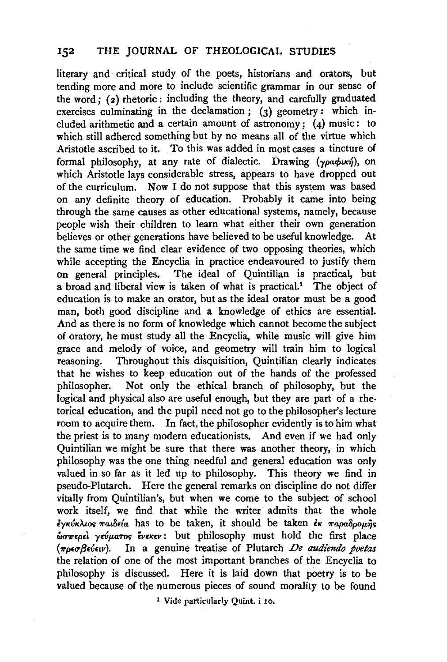literary and critical study of the poets, historians and orators, but tending more and more to include scientific grammar in our sense of the word:  $(z)$  rhetoric: including the theory, and carefully graduated exercises culminating in the declamation ; (3) geometry: which included arithmetic and a certain amount of astronomy; (4) music: to which still adhered something but by no means all of the virtue which Aristotle ascribed to it. To this was added in most cases a tincture of formal philosophy, at any rate of dialectic. Drawing *(ypadurn)*, on which Aristotle lays considerable stress, appears to have dropped out of the curriculum. Now I do not suppose that this system was based on any definite theory of education. Probably it came into being through the same causes as other educational systems, namely, because people wish their children to learn what either their own generation believes or other generations have believed to be useful knowledge. At the same time we find clear evidence of two opposing theories, which while accepting the Encyclia in practice endeavoured to justify them on general principles. The ideal of Quintilian is practical, but a broad and liberal view is taken of what is practical.<sup>1</sup> The object of education is to make an orator, but as the ideal orator must be a good man, both good discipline and a knowledge of ethics are essential. And as there is no form of knowledge which cannot become the subject of oratory, he must study all the Encyclia, while music will give him grace and melody of voice, and geometry will train him to logical reasoning. Throughout this disquisition, Quintilian clearly indicates that he wishes to keep education out of the hands of the professed philosopher. Not only the ethical branch of philosophy, but the logical and physical also are useful enough, but they are part of a rhetorical education, and the pupil need not go to the philosopher's lecture room to acquire them. In fact, the philosopher evidently is to him what the priest is to many modern educationists. And even if we had only Quintilian we might be sure that there was another theory, in which philosophy was the one thing needful and general education was only valued in so far as it led up to philosophy. This theory we find in pseudo-Plutarch. Here the general remarks on discipline do not differ vitally from Quintilian's, but when we come to the subject of school work itself, we find that while the writer admits that the whole  $\epsilon$ *γκύκλιος παιδεία* has to be taken, it should be taken  $\epsilon$ κ παραδρομής  $\omega$ σπερεί γεύματος ένεκεν: but philosophy must hold the first place *(7rpm/3£6nv).* In a genuine treatise of Plutarch *De audiendo poetas*  the relation of one of the most important branches of the Encyclia to philosophy is discussed. Here it is laid down that poetry is to be valued because of the numerous pieces of sound morality to be found

1 Vide particularly Quint. i 10.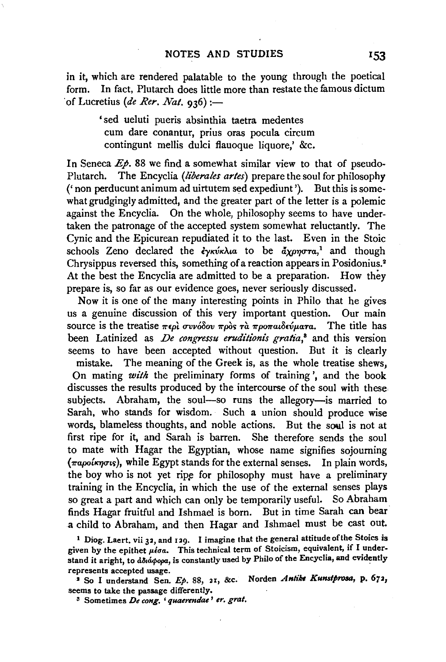in it, which are rendered palatable to the young through the poetical form. In fact, Plutarch does little more than restate the famous dictum of Lucretius *(de Rer. Nat.* 936) :-

> ' sed ueluti pueris absinthia taetra medentes cum dare conantur, prius oras pocula circum contingunt mellis dulci flauoque liquore,' &c.

In Seneca  $E\phi$ . 88 we find a somewhat similar view to that of pseudo-Plutarch. The Encyclia *(liberates artes)* prepare the soul for philosophy ('non perducunt animum ad uirtutem sed expediunt '). But this is somewhat grudgingly admitted, and the greater part of the letter is a polemic against the Encyclia. On the whole, philosophy seems to have undertaken the patronage of the accepted system somewhat reluctantly. The Cynic and the Epicurean repudiated it to the last. Even in the Stoic schools Zeno declared the  $\epsilon$ ykvkAta to be  $\alpha$ <sub>Xp</sub> nora,<sup>1</sup> and though Chrysippus reversed this, something of a reaction appears in Posidonius.<sup>2</sup> At the best the Encyclia are admitted to be a preparation. How they prepare is, so far as our evidence goes, never seriously discussed.

Now it is one of the many interesting points in Philo that he gives us a genuine discussion of this very important question. Our main source is the treatise  $\pi \epsilon \rho \hat{i}$   $\sigma \nu \hat{i}$   $\delta \nu \pi \rho \hat{j}$   $\sigma \nu \hat{j}$   $\pi \rho \sigma \pi \hat{i}$  and  $\sigma \nu \hat{j}$  and  $\sigma \nu \hat{j}$  and  $\tau \rho \sigma \pi \hat{i}$  and  $\sigma \nu \hat{j}$  and  $\tau \rho \sigma \pi \hat{i}$  and  $\sigma \nu \hat{j}$  and  $\tau \rho \sigma \pi \hat{i}$  and  $\tau \rho \sigma \pi \hat{i$ been Latinized as *De congressu eruditionis gratia*,<sup>8</sup> and this version seems to have been accepted without question. But it is clearly mistake. The meaning of the Greek is, as the whole treatise shews, On mating *with* the preliminary forms of training', and the book discusses the results produced by the intercourse of the soul with these subjects. Abraham, the soul-so runs the allegory-is married to Sarah, who stands for wisdom. Such a union should produce wise words, blameless thoughts, and noble actions. But the soul is not at first ripe for it, and Sarah is barren. She therefore sends the soul to mate with Hagar the Egyptian, whose name signifies sojourning  $(\pi a \rho o \kappa \eta \sigma \iota s)$ , while Egypt stands for the external senses. In plain words, the boy who is not yet ripe for philosophy must have a preliminary training in the Encyclia, in which the use of the external senses plays so great a part and which can only be temporarily useful. So Abraham finds Hagar fruitful and Ishmael is born. But in time Sarah can bear a child to Abraham, and then Hagar and Ishmael must be cast out.

I Diog. Laert. vii 32, and 129. I imagine that the general attitude of the Stoics is given by the epithet  $\mu \acute{e} \sigma a$ . This technical term of Stoicism, equivalent, if I understand it aright, to doidpopa, is constantly used by Philo of the Encyclia, and evidently represents accepted usage.

• So I understand Sen. *Ep.* 88, 21, &c. Norden *Antike Kunslprosa,* p. 672, seems to take the passage differently.

a Sometimes *De cong. 'quaerendae' er. grat.*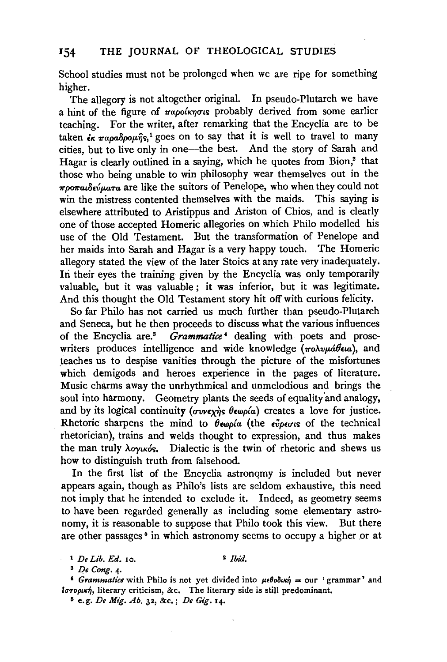School studies must not be prolonged when we are ripe for something higher.

The allegory is not altogether original. In pseudo-Plutarch we have a hint of the figure of *παροίκησι*s probably derived from some earlier teaching. For the writer, after remarking that the Encyclia are to be taken  $\epsilon_K$   $\pi$ *apa* $\delta$ *pop.* $\hat{\eta}$ s,<sup>1</sup> goes on to say that it is well to travel to many cities, but to live only in one-the best. And the story of Sarah and Hagar is clearly outlined in a saying, which he quotes from Bion,<sup>2</sup> that those who being unable to win philosophy wear themselves out in the *7rp01rai8rup.aTa* are like the suitors of Penelope, who when they could not win the mistress contented themselves with the maids. This saying is elsewhere attributed to Aristippus and Ariston of Chios, and is clearly one of those accepted Homeric allegories on which Philo modelled his use of the Old Testament. But the transformation of Penelope and her maids into Sarah and Hagar is a very happy touch. The Homeric allegory stated the view of the later Stoics at any rate very inadequately. In their eyes the training given by the Encyclia was only temporarily valuable, but it was valuable ; it was inferior, but it was legitimate. And this thought the Old Testament story hit off with curious felicity.

So far Philo has not carried us much further than pseudo-Plutarch and Seneca, but he then proceeds to discuss what the various influences of the Encyclia are.8 *Grammatice'* dealing with poets and prosewriters produces intelligence and wide knowledge (πολυμάθεια), and .teaches us to despise vanities through the picture of the misfortunes which demigods and heroes experience in the pages of literature. Music charms away the unrhythmical and unmelodious and brings the soul into harmony. Geometry plants the seeds of equality and analogy, and by its logical continuity (συνεχής θεωρία) creates a love for justice. Rhetoric sharpens the mind to θεωρία (the εύρεσιs of the technical rhetorician), trains and welds thought to expression, and thus makes the man truly  $\lambda$ o $\gamma$ ukós, Dialectic is the twin of rhetoric and shews us how to distinguish truth from falsehood.

In the first list of the Encyclia astronomy is included but never appears again, though as Philo's lists are seldom exhaustive, this need not imply that he intended to exclude it. Indeed, as geometry seems to have been regarded generally as including some elementary astronomy, it is reasonable to suppose that Philo took this view. But there are other passages<sup> $5$ </sup> in which astronomy seems to occupy a higher or at

<sup>1</sup> *De Lib. Ed.* 10. <sup>2</sup> *Ibid.* 

<sup>3</sup>*De Cong.* 4.

<sup>4</sup> *Grammatice* with Philo is not yet divided into μεθοδική = our 'grammar' and  $l$ στορική, literary criticism, &c. The literary side is still predominant.

~ e.g. *De Mig. Ab.* 32, &c.; *De Gig,* 14.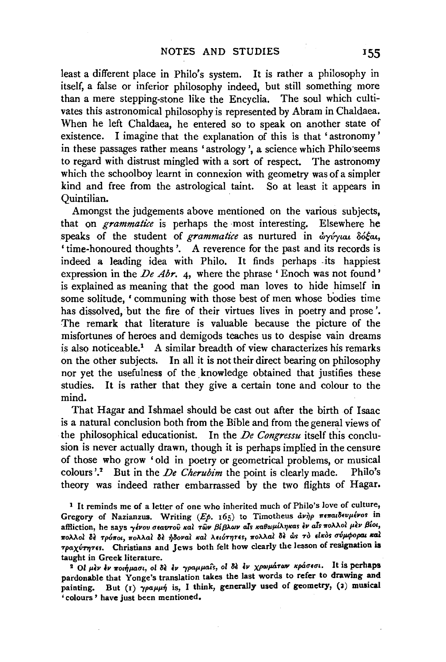least a different place in Philo's system. It is rather a philosophy in itself, a false or inferior philosophy indeed, but still something more than a mere stepping-stone like the Encyclia. The soul which cultivates this astronomical philosophy is represented by Abram in Chaldaea. When he left Chaldaea, he entered so to speak on another state of existence. I imagine that the explanation of this is that 'astronomy' in these passages rather means 'astrology', a science which PhiJo·seems to regard with distrust mingled with a sort of respect. The astronomy which the schoolboy learnt in connexion with geometry was of a simpler kind and free from the astrological taint. So at least it appears in Quintilian. ·

Amongst the judgements above mentioned on the various subjects, that on *grammatice* is perhaps the most interesting. Elsewhere he speaks of the student of *grammatice* as nurtured in *ώγύγιαι δόξαι*, 'time-honoured thoughts '. A reverence for the past and its records is indeed a leading idea with Philo. It finds perhaps .its happiest expression in the *De Abr.* 4, where the phrase 'Enoch was not found' is explained as meaning that the good man loves to hide himself in some solitude, • communing with those best of men whose bodies time has dissolved, but the fire of their virtues lives in poetry and prose '. The remark that literature is valuable because the picture of the misfortunes of heroes and demigods teaches us to despise vain dreams is also noticeable.1 A similar breadth of view characterizes his remarks on the other subjects. In all it is not their direct bearing on philosophy nor yet the usefulness of the knowledge obtained that justifies these studies. It is rather that they give a certain tone and colour to the mind.

That Hagar and Ishmael should be cast out after the birth of Isaac is a natural conclusion both from the Bible and from the general views of the philosophical educationist. In the *De Congressu* itself this conclusion is never actually drawn, though it is perhaps implied in the censure of those who grow 'old in poetry or geometrical problems, or musical colours '.2 But in the *De Cherubim* the point is clearly made. Philo's theory was indeed rather embarrassed by the two flights of Hagar.

1 It reminds me of a letter of one who inherited much of Philo's love of culture, Gregory of Nazianzus. Writing (Ep. 165) to Timotheus drip nenatoevuevos in affliction, he says γένου σεαυτού και των βίβλων αις καθωμίληκας έν αις πολλοί μεν βίοι, 'IToMol 1!~ *TpfJ'IT01, 'ITo>.>.al* liE 7)1Joval "al *A<10T1JTES, 'ITo>.Aal* 1JE ells .,.;; *•l"o•* u~µ.po~ ~I  $T\rho a \chi \nu \tau \eta \tau \epsilon$ s. Christians and Jews both felt how clearly the lesson of resignation is taught in Greek literature.

<sup>2</sup> Ol μεν εν ποιήμασι, οι δε εν γραμμαίς, οι δε εν χρωμάτων κράσεσι. It is perhaps pardonable that Yonge's translation takes the last words to refer to drawing and painting. But (1)  $\gamma \rho a \mu \mu \dot{\eta}$  is, I think, generally used of geometry, (2) musical 'colours ' have just been mentioned,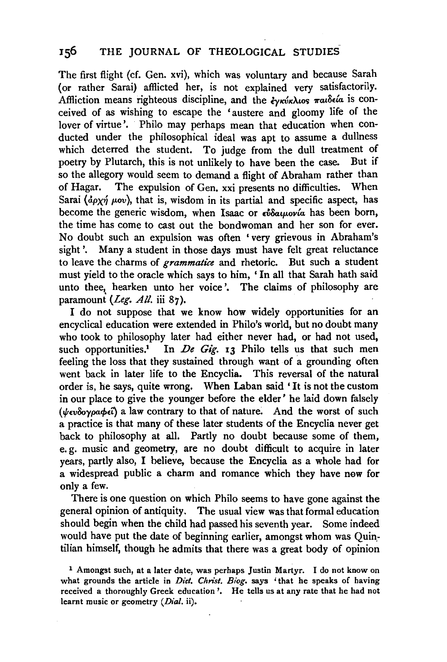## 156 THE JOURNAL OF THEOLOGICAL STUDIES

The first flight (cf. Gen. xvi), which was voluntary and because Sarah (or rather Sarai) afflicted her, is not explained very satisfactorily. Affliction means righteous discipline, and the *εγκύκλιος παιδεία* is conceived of as wishing to escape the 'austere and gloomy life of the lover of virtue'. Philo may perhaps mean that education when conducted under the philosophical ideal was apt to assume a dullness which deterred the student. To judge from the dull treatment of poetry by Plutarch, this is not unlikely to have been the case. But if so the allegory would seem to demand a flight of Abraham rather than of Hagar. The expulsion of Gen. xxi presents no difficulties. When Sarai ( $\partial \rho \chi \gamma$   $\mu$ ov), that is, wisdom in its partial and specific aspect, has become the generic wisdom, when Isaac or  $\epsilon \delta \delta a \mu o \nu a$  has been born, the time has come to cast out the bondwoman and her son for ever. No doubt such an expulsion was often 'very grievous in Abraham's sight'. Many a student in those days must have felt great reluctance to leave the charms of *grammatice* and rhetoric. But such a student must yield to the oracle which says to him, ' In all that Sarah hath said unto thee, hearken unto her voice'. The claims of philosophy are paramount *(Leg. All.* iii 87).

I do not suppose that we know how widely opportunities for an encyclical education were extended in Philo's world, but no doubt many who took to philosophy later had either never had, or had not used, such opportunities.<sup>1</sup> In *De Gig.* **13** Philo tells us that such men feeling the loss that they sustained through want of a grounding often went back in later life to the Encyclia. This reversal of the natural order is, he says, quite wrong. When Laban said 'It is not the custom in our place to give the younger before the elder' he laid down falsely ( $\psi \in \partial \Omega$ ) a law contrary to that of nature. And the worst of such a practice is that many of these later students of the Encyclia never get back to philosophy at all. Partly no doubt because some of them, e. g. music and geometry, are no doubt difficult to acquire in later years, partly also, I believe, because the Encyclia as a whole had for a widespread public a charm and romance which they have new for only a few.

There is one question on which Philo seems to have gone against the general opinion of antiquity. The usual view was that formal education should begin when the child had passed his seventh year. Some indeed would have put the date of beginning earlier, amongst whom was Quin. tilian himself, though he admits that there was a great body of opinion

<sup>1</sup> Amongst such, at a later date, was perhaps Justin Martyr. I do not know on what grounds the article in *Diet. Christ. Biog.* says 'that he speaks of having received a thoroughly Greek education'. He tells us at any rate that he had not learnt music or geometry *(Dial.* ii),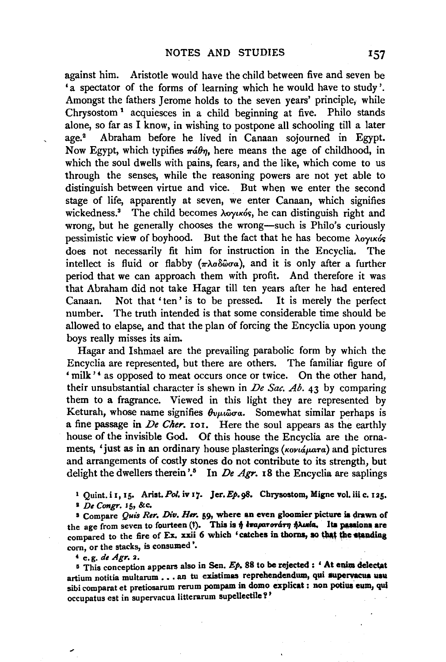against him. Aristotle would have the child between five and seven be 'a spectator of the forms of learning which he would have to study'. Amongst the fathers Jerome holds to the seven years' principle, while Chrysostom 1 acquiesces in a child beginning at five. Philo stands alone, so far as I know, in wishing to postpone all schooling till a later age.2 Abraham before he lived in Canaan sojourned in Egypt. Now Egypt, which typifies  $\pi \phi n$ , here means the age of childhood, in which the soul dwells with pains, fears, and the like, which come to us through the senses, while the reasoning powers are not yet able to distinguish between virtue and vice. But when we enter the second stage of life, apparently at seven, we enter Canaan, which signifies wickedness.<sup>3</sup> The child becomes  $\lambda_{o\gamma\mu\kappa\delta}$ , he can distinguish right and wrong, but he generally chooses the wrong—such is Philo's curiously pessimistic view of boyhood. But the fact that he has become  $\lambda_{0}$ does not necessarily fit him for instruction in the Encyclia. The intellect is fluid or flabby  $(\pi \lambda \alpha \delta \hat{\omega} \sigma \alpha)$ , and it is only after a further period that we can approach them with profit. And therefore it was that Abraham did not take Hagar till ten years after he had entered Canaan. Not that' ten' is to be pressed. It is merely the perfect number. The truth intended is that some considerable time should be allowed to elapse, and that the plan of forcing the Encyclia upon young boys really misses its aim.

Hagar and Ishmael are the prevailing parabolic form by which the Encyclia are represented, but there are others. The familiar figure of ' milk'<sup>4</sup> as opposed to meat occurs once or twice. On the other hand, their unsubstantial character is shewn in *De Sac. Ab.* 43 by comparing them to a fragrance. Viewed in this light they are represented by Keturah, whose name signifies  $\theta$ *v<sub>prib</sub>* $\alpha$ . Somewhat similar perhaps is a fine passage in *De Cher.* ror. Here the soul appears as the earthly house of the invisible God. Of this house the Encyclia are the ornaments, 'just as in an ordinary house plasterings (*Koviáµara*) and pictures and arrangements of costly stones do not contribute to its strength, but delight the dwellers therein'.<sup>5</sup> In *De Agr*. 18 the Encyclia are saplings

1 Quint. i 1, 15. Arist. Pol. iv 17. Jer. Ep. 98. Chrysostom, Migne vol. iii c. 125.

• *De Congr.* 15, &c.

s Compare *Quis Rer. Dio. Hw.* 59, where an even gloomier picture ia drawn of the age from seven to fourteen (i). This is  $\hat{\eta}$  *is aparorary*  $\hat{\eta} \lambda$ *usia*. Its passions are compared to the fire of Ex. xxii 6 which 'catches in thorns, so that the standing corn, or the stacks, is consumed'.

<sup>4</sup> e.*g. de Agr. 2.*<br>5 This conception appears also in Sen. Ep. 88 to be rejected : ' At enim delectat artium notitia multarum . . . an tu existimas reprehendendum, qui supervacua usu sibi comparat et pretiosarum rerum pompam in domo explicat : non potius eum, qul occupatus est in supervacua litterarum supellectile?'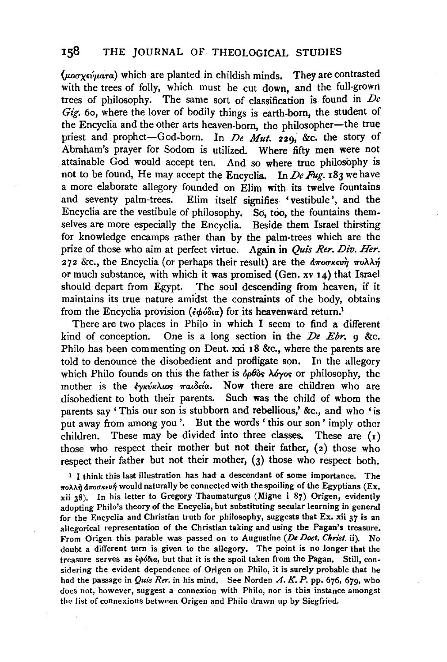*{µoux£vµ.aTa)* which are planted in childish minds. They are contrasted with the trees of folly, which must be cut down, and the full-grown trees of philosophy. The same sort of classification is found in *De*  Gig. 60, where the lover of bodily things is earth-born, the student of the Encyclia and the other arts heaven-born, the philosopher-the true priest and prophet-God-born. In *De Mut.* 229, &c. the story of Abraham's prayer for Sodom is utilized. Where fifty men were not attainable God would accept ten. And so where true philosophy is not to be found, He may accept the Encyclia. In *De Fug.* 183 we have a more elaborate allegory founded on Elim with its twelve fountains and seventy palm-trees. Elim itself signifies 'vestibule', and the Encyclia are the vestibule of philosophy. So, too, the fountains themselves are more especially the Encyclia. Beside them Israel thirsting for knowledge encamps rather than by the palm-trees which are the prize of those who aim at perfect virtue. Again in *Quis Rer. Div. Her.*  272 &c., the Encyclia (or perhaps their result) are the  $d\pi$ ookevn  $\pi$ o $\lambda\lambda\eta$ or much substance, with which it was promised (Gen. xv 14) that Israel should depart from Egypt. The soul descending from heaven, if it maintains its true nature amidst the constraints of the body, obtains from the Encyclia provision *(¿bó8ia)* for its heavenward return.<sup>1</sup>

There are two places in Philo in which I seem to find a different kind of conception. One is a long section in the *De Ebr.* 9 &c. Philo has been commenting on Deut. xxi 18 &c., where the parents are told to denounce the disobedient and profligate son. In the allegory which Philo founds on this the father is  $\phi \theta_{\alpha} \lambda_{\alpha} \phi_{\beta}$  or philosophy, the mother is the εγκύκλιος παιδεία. Now there are children who are disobedient to both their parents. Such was the child of whom the parents say 'This our son is stubborn and rebellious,' &c., and who 'is put away from among you '. But the words 'this our son' imply other children. These may be divided into three classes. These are  $(r)$ those who respect their mother but not their father, (2) those who respect their father but not their mother, (3) those who respect both.

1 I think this last illustration has had a descendant of some importance. The  $\pi$ o $\lambda \lambda \hat{n}$  d $\pi$ oo $\kappa \epsilon v \hat{\eta}$  would naturally be connected with the spoiling of the Egyptians (Ex. xii 38). In his letter to Gregory Thaumaturgus (Migne i 87) Origen, evidently adopting Philo's theory of the Encyclia, but substituting secular learning in general for the Encyclia and Christian truth for philosophy, suggests that Ex. xii 37 is an allegorical representation of the Christian taking and using the Pagan's treasure. From Origen this parable was passed on to Augustine *(De Doct. Christ.* ii). No doubt a different turn is given to the allegory. The point is no longer that the treasure serves as  $i\phi \delta \delta a$ , but that it is the spoil taken from the Pagan. Still, considering the evident dependence of Origen on Philo, it is surely probable that he had the passage in *Quis Rer.* in his mind. See Norden *A. K. P.* pp. 676, 679, who does not, however, suggest a connexion with Philo, nor is this instance amongst the list of connexions between Origen and Philo drawn up by Siegfried.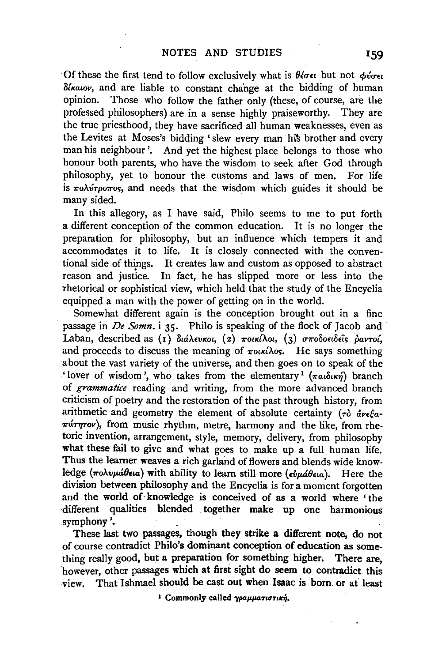Of these the first tend to follow exclusively what is  $\theta \omega \in \phi \omega$  but not  $\phi \omega \in \theta$  $\delta$ *kawv*, and are liable to constant change at the bidding of human opinion. Those who follow the father only (these, of course, are the professed philosophers) are in a sense highly praiseworthy. They are the true priesthood, they have sacrificed all human weaknesses, even as the Levites at Moses's bidding 'slew every man his brother and every man his neighbour'. And yet the highest place belongs to those who honour both parents, who have the wisdom to seek after God through philosophy, yet to honour the customs and laws of men. For life is  $\pi o \lambda \nu \tau \rho o \pi o s$ , and needs that the wisdom which guides it should be many sided.

In this allegory, as I have said, Philo seems to me to put forth a different conception of the common education. It is no longer the preparation for philosophy, but an influence which tempers it and accommodates it to life. It is closely connected with the conventional side of things. It creates law and custom as opposed to abstract reason and justice. In fact, he has slipped more or less into the rhetorical or sophistical view, which held that the study of the Encyclia equipped a man with the power of getting on in the world.

Somewhat different again is the conception brought out in a fine passage in *De Somn*, i 35. Philo is speaking of the flock of Jacob and Laban, described as (τ) διάλευκοι, (2) ποικίλοι, (3) σποδοειδείς *ραντοί*, and proceeds to discuss the meaning of  $\pi$ otkilos. He says something about the vast variety of the universe, and then goes on to speak of the 'lover of wisdom', who takes from the elementary<sup>1</sup> ( $\pi a u \delta t \kappa \hat{\eta}$ ) branch of *grammatice* reading and writing, from the more advanced branch criticism of poetry and the restoration of the past through history, from arithmetic and geometry the element of absolute certainty (rò  $\frac{1}{2}ve\epsilon\alpha$ - $\pi$ *'4* $\pi$ *rov*), from music rhythm, metre, harmony and the like, from rhetoric invention, arrangement, style, memory, delivery, from philosophy what these fail to give and what goes to make up a full human life. Thus the learner weaves a rich garland of flowers and blends wide knowledge (πολυμάθεια) with ability to learn still more *(εὐμάθεια)*. Here the division between philosophy and the Encyclia is for a moment forgotten and the world of· knowledge is conceived of as a world where 'the different qualities blended together make up one harmonious symphony'.

These last two passages, though they strike a different note, do not of course contradict Philo's dominant conception of education as something really good, but a preparation for something higher. There are, however, other passages which at first sight do seem to contradict this view. That Ishmael should be cast out when Isaac is born or at least

1 Commonly called *<i>Mauparistin*.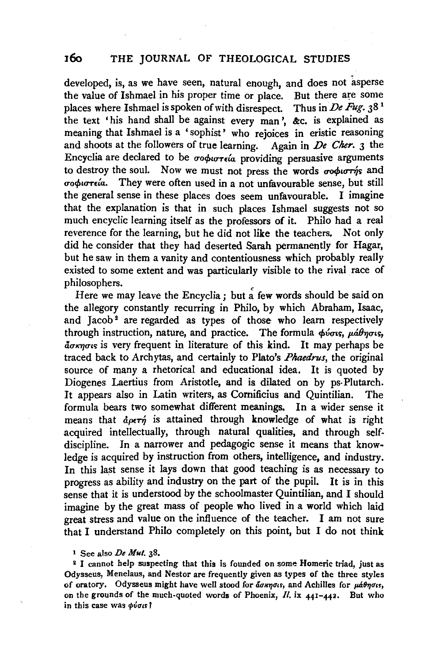developed, is, as we have seen, natural enough, and does not asperse the value of Ishmael in his proper time or place. But there are some places where Ishmael is spoken of with disrespect. Thus in *De Fug.* 38 1 the text 'his hand shall be against every man ', &c. is explained as meaning that Ishmael is a 'sophist' who rejoices in eristic reasoning and shoots at the followers of true learning. Again in *De Cher.* 3 the Encyclia are declared to be *σοφιστεία* providing persuasive arguments to destroy the soul. Now we must not press the words *ooduorns* and *uocpicrnta.* They were often used in a not unfavourable sense, but still the general sense in these places does seem unfavourable. I imagine that the explanation is that in such places Ishmael suggests not so much encyclic learning itself as the professors of it. Philo had a real reverence for the learning, but he did not like the teachers. Not only did he consider that they had deserted Sarah permanently for Hagar, but he saw in them a vanity and contentiousness which probably really existed to some extent and was particularly visible to the rival race of particularly and content and not particularly. philosophers.<br>Here we may leave the Encyclia; but a few words should be said on

the allegory constantly recurring in Philo, by which Abraham, Isaac, and  $Jacob<sup>2</sup>$  are regarded as types of those who learn respectively through instruction, nature, and practice. The formula  $\phi$ *vous*,  $\mu$ *áθησις*,  $d$ *oknows* is very frequent in literature of this kind. It may perhaps be traced back to Archytas, and certainly to Plato's *Phaedrus,* the original source of many a rhetorical and educational idea. It is quoted by Diogenes Laertius from Aristotle, and is dilated on by ps-Plutarch. It appears also in Latin writers, as Comificius and Quintilian. The formula bears two somewhat different meanings. In a wider sense it means that  $\phi_0 \epsilon \vec{r}$  is attained through knowledge of what is right acquired intellectually, through natural qualities, and through selfdiscipline. In a narrower and pedagogic sense it means that knowledge is acquired by instruction from others, intelligence, and industry. In this last sense it lays down that good teaching is as necessary to progress as ability and industry on the part of the pupil. It is in this sense that it is understood by the schoolmaster Quintilian, and I should imagine by the great mass of people who lived in a world which laid great stress and value on the influence of the teacher. I am not sure that I understand Philo completely on this point, but I do not think

1 See also *De Mui.* 38.

 $2.2$  and  $2.2$  in the this is founded on some Homerican suspection on some Homerican some Homeric triad, just as a some Homeric triad, just as a some Homerican suspective method on some Homerican suspective method is a s I cannot help suspecting that this is founded on some riomeric triad, just as Odysseus, Menelaus, and Nestor are frequently given as types of the three styles of oratory. Odysseus might have well stood for  $\tilde{a}$ *ornois*, and Achilles for  $\mu$ *d* $\theta$ *nois*, on the grounds of the much-quoted words of Phoenix,  $I\ell$ , ix  $441-442$ . But who in this case was  $\phi \phi \circ s$ ?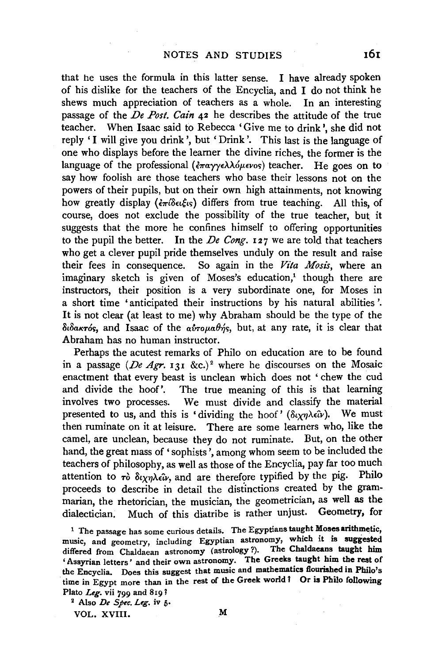that he uses the formula in this latter sense. I have already spoken of his dislike for the teachers of the Encyclia, and I do not think he shews much appreciation of teachers as a whole. In an interesting passage of the *De Post. Cain* 42 he describes the attitude of the true teacher. When Isaac said to Rebecca 'Give me to drink', she did not reply 'I will give you drink', but 'Drink'. This last is the language of one who displays before the learner the divine riches, the former is the language of the professional  $(\partial \pi a \gamma \gamma \partial \phi)$  *teacher.* He goes on to say how foolish are those teachers who base their lessons not on the powers of their pupils, but on their own high attainments, not knowing how greatly display ( $\frac{2\pi}{3}$ <sub>c</sub> $\frac{2\pi}{3}$  differs from true teaching. All this, of course, does not exclude the possibility of the true teacher, but. it suggests that the more he confines himself to offering opportunities to the pupil the better. In the *De Cong.* 127 we are told that teachers who get a clever pupil pride themselves unduly on the result and raise their fees in consequence. So again in the *Vita Mosis,* where an imaginary sketch is given of Moses's education,<sup>1</sup> though there are instructors, their position is a very subordinate one, for Moses in a short time 'anticipated their instructions by his natural abilities '. It is not clear (at least to me) why Abraham should be the type of the  $\delta t$  $\delta \alpha$ **K** $\sigma$ *f*<sub>5</sub>, and Isaac of the  $\alpha \dot{\nu}$ *rough* $\gamma$ <sup>5</sup>, but, at any rate, it is clear that Abraham has no human instructor.

Perhaps the acutest remarks of Philo on education are to be found in a passage *(De Agr.* 131 &c.)<sup>2</sup> where he discourses on the Mosaic enactment that every beast is unclean which does not ' chew the cud and divide the hoof'. The true meaning of this is that learning involves two processes. We must divide and classify the material presented to us, and this is 'dividing the hoof'  $(\delta \iota_X \eta \lambda \epsilon \hat{\iota} \nu)$ . We must then ruminate on it at leisure. There are some learners who, like the camel, are unclean, because they do not ruminate. But, on the other hand, the great mass of ' sophists ', among whom seem to be included the teachers of philosophy, as well as those of the Encyclia, pay far too much attention to  $\tau$ ò  $\delta$ *i* $\chi$ <sup>*n*</sup> $\lambda$ *<sub>ε</sub>* $\hat{i}$ *v*, and are therefore typified by the pig. Philo proceeds to describe in detail the distinctions created by the grammarian, the rhetorician, the musician, the geometrician, as well as the dialectician. Much of this diatribe is rather unjust. Geometry, for

 $1$  The passage has some curious details. The Egyptians taught Moses arithmetic, music, and geometry, including Egyptian astronomy, which it is suggested differed from Chaldaean astronomy (astrology?). The Chaldaeans taught him 'Assyrian letters' and their own astronomy. The Greeks taught him the rest of the Encyclia. Does this suggest that music and mathematics flourished in Philo's time in Egypt more than in the rest of the Greek world? Or is Philo following Plato *Leg.* vii *799* and 8191 2 Also *De Spee. Leg.* iv 5•

VOL. XVIII. M